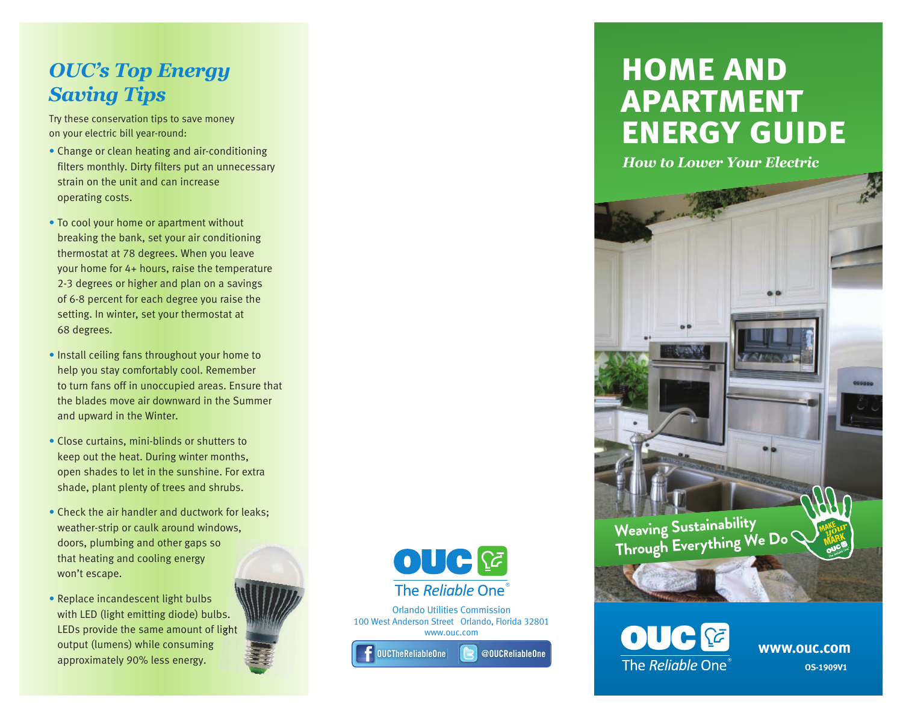# *OUC's Top Energy Saving Tips*

Try these conservation tips to save money on your electric bill year-round:

- Change or clean heating and air-conditioning filters monthly. Dirty filters put an unnecessary strain on the unit and can increase operating costs.
- To cool your home or apartment without breaking the bank, set your air conditioning thermostat at 78 degrees. When you leave your home for 4+ hours, raise the temperature 2-3 degrees or higher and plan on a savings of 6-8 percent for each degree you raise the setting. In winter, set your thermostat at 68 degrees.
- Install ceiling fans throughout your home to help you stay comfortably cool. Remember to turn fans off in unoccupied areas. Ensure that the blades move air downward in the Summer and upward in the Winter.
- Close curtains, mini-blinds or shutters to keep out the heat. During winter months, open shades to let in the sunshine. For extra shade, plant plenty of trees and shrubs.
- Check the air handler and ductwork for leaks; weather-strip or caulk around windows, doors, plumbing and other gaps so that heating and cooling energy won't escape.
- Replace incandescent light bulbs with LED (light emitting diode) bulbs. LEDs provide the same amount of light output (lumens) while consuming approximately 90% less energy.





Orlando Utilities Commission 100 West Anderson Street Orlando, Florida 32801 www.ouc.com

OUCTheReliableOne

@OUCReliableOne

# **home and apartment energy guide**

*How to Lower Your Electric*





**OS-1909V1 www.ouc.com**